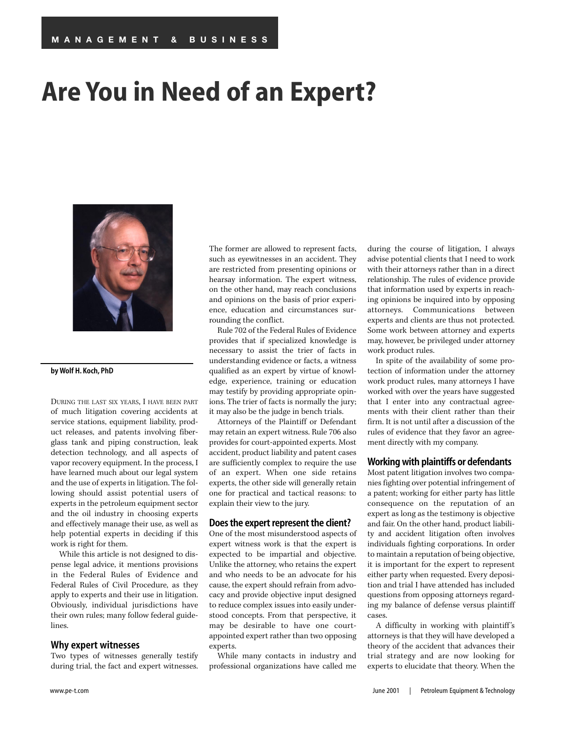# **Are You in Need of an Expert?**



#### **by Wolf H. Koch, PhD**

DURING THE LAST SIX YEARS, I HAVE BEEN PART of much litigation covering accidents at service stations, equipment liability, product releases, and patents involving fiberglass tank and piping construction, leak detection technology, and all aspects of vapor recovery equipment. In the process, I have learned much about our legal system and the use of experts in litigation. The following should assist potential users of experts in the petroleum equipment sector and the oil industry in choosing experts and effectively manage their use, as well as help potential experts in deciding if this work is right for them.

While this article is not designed to dispense legal advice, it mentions provisions in the Federal Rules of Evidence and Federal Rules of Civil Procedure, as they apply to experts and their use in litigation. Obviously, individual jurisdictions have their own rules; many follow federal guidelines.

#### **Why expert witnesses**

Two types of witnesses generally testify during trial, the fact and expert witnesses.

The former are allowed to represent facts, such as eyewitnesses in an accident. They are restricted from presenting opinions or hearsay information. The expert witness, on the other hand, may reach conclusions and opinions on the basis of prior experience, education and circumstances surrounding the conflict.

Rule 702 of the Federal Rules of Evidence provides that if specialized knowledge is necessary to assist the trier of facts in understanding evidence or facts, a witness qualified as an expert by virtue of knowledge, experience, training or education may testify by providing appropriate opinions. The trier of facts is normally the jury; it may also be the judge in bench trials.

Attorneys of the Plaintiff or Defendant may retain an expert witness. Rule 706 also provides for court-appointed experts. Most accident, product liability and patent cases are sufficiently complex to require the use of an expert. When one side retains experts, the other side will generally retain one for practical and tactical reasons: to explain their view to the jury.

#### **Does the expert represent the client?**

One of the most misunderstood aspects of expert witness work is that the expert is expected to be impartial and objective. Unlike the attorney, who retains the expert and who needs to be an advocate for his cause, the expert should refrain from advocacy and provide objective input designed to reduce complex issues into easily understood concepts. From that perspective, it may be desirable to have one courtappointed expert rather than two opposing experts.

While many contacts in industry and professional organizations have called me

during the course of litigation, I always advise potential clients that I need to work with their attorneys rather than in a direct relationship. The rules of evidence provide that information used by experts in reaching opinions be inquired into by opposing attorneys. Communications between experts and clients are thus not protected. Some work between attorney and experts may, however, be privileged under attorney work product rules.

In spite of the availability of some protection of information under the attorney work product rules, many attorneys I have worked with over the years have suggested that I enter into any contractual agreements with their client rather than their firm. It is not until after a discussion of the rules of evidence that they favor an agreement directly with my company.

#### **Working with plaintiffs or defendants**

Most patent litigation involves two companies fighting over potential infringement of a patent; working for either party has little consequence on the reputation of an expert as long as the testimony is objective and fair. On the other hand, product liability and accident litigation often involves individuals fighting corporations. In order to maintain a reputation of being objective, it is important for the expert to represent either party when requested. Every deposition and trial I have attended has included questions from opposing attorneys regarding my balance of defense versus plaintiff cases.

A difficulty in working with plaintiff 's attorneys is that they will have developed a theory of the accident that advances their trial strategy and are now looking for experts to elucidate that theory. When the